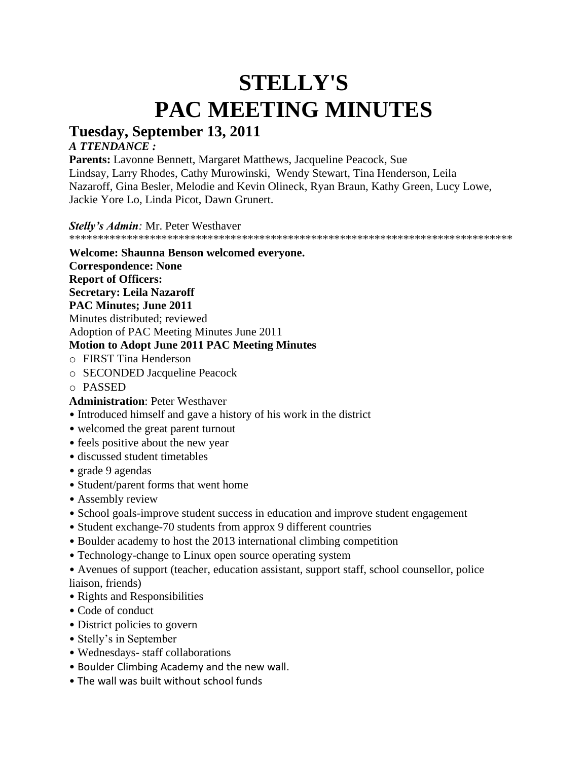# **STELLY'S PAC MEETING MINUTES**

# **Tuesday, September 13, 2011**

# *A TTENDANCE :*

**Parents:** Lavonne Bennett, Margaret Matthews, Jacqueline Peacock, Sue Lindsay, Larry Rhodes, Cathy Murowinski, Wendy Stewart, Tina Henderson, Leila Nazaroff, Gina Besler, Melodie and Kevin Olineck, Ryan Braun, Kathy Green, Lucy Lowe, Jackie Yore Lo, Linda Picot, Dawn Grunert.

*Stelly's Admin:* Mr. Peter Westhaver

\*\*\*\*\*\*\*\*\*\*\*\*\*\*\*\*\*\*\*\*\*\*\*\*\*\*\*\*\*\*\*\*\*\*\*\*\*\*\*\*\*\*\*\*\*\*\*\*\*\*\*\*\*\*\*\*\*\*\*\*\*\*\*\*\*\*\*\*\*\*\*\*\*\*\*\*\*

#### **Welcome: Shaunna Benson welcomed everyone.**

**Correspondence: None**

**Report of Officers:**

**Secretary: Leila Nazaroff**

# **PAC Minutes; June 2011**

Minutes distributed; reviewed

Adoption of PAC Meeting Minutes June 2011

# **Motion to Adopt June 2011 PAC Meeting Minutes**

- o FIRST Tina Henderson
- o SECONDED Jacqueline Peacock
- o PASSED

# **Administration**: Peter Westhaver

- Introduced himself and gave a history of his work in the district
- welcomed the great parent turnout
- feels positive about the new year
- discussed student timetables
- grade 9 agendas
- Student/parent forms that went home
- Assembly review
- School goals-improve student success in education and improve student engagement
- Student exchange-70 students from approx 9 different countries
- Boulder academy to host the 2013 international climbing competition
- Technology-change to Linux open source operating system

• Avenues of support (teacher, education assistant, support staff, school counsellor, police liaison, friends)

- Rights and Responsibilities
- Code of conduct
- District policies to govern
- Stelly's in September
- Wednesdays- staff collaborations
- Boulder Climbing Academy and the new wall.
- The wall was built without school funds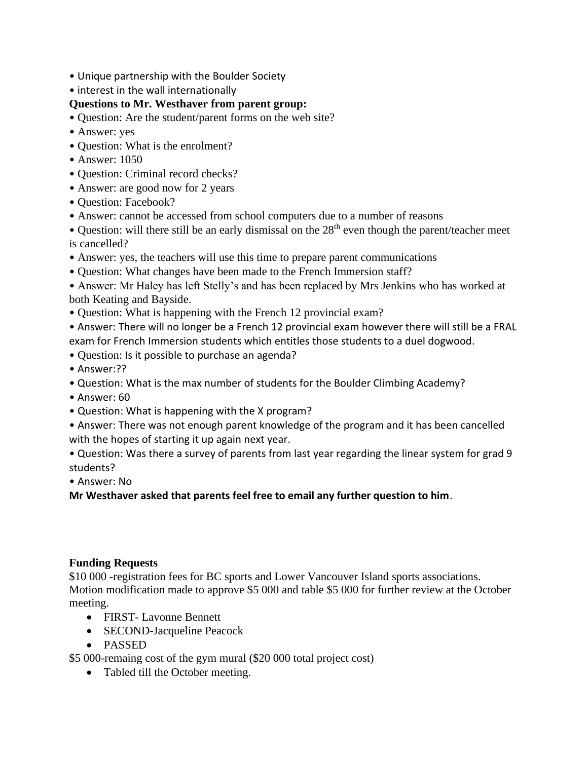- Unique partnership with the Boulder Society
- interest in the wall internationally

# **Questions to Mr. Westhaver from parent group:**

- Question: Are the student/parent forms on the web site?
- Answer: yes
- Question: What is the enrolment?
- Answer: 1050
- Question: Criminal record checks?
- Answer: are good now for 2 years
- Ouestion: Facebook?
- Answer: cannot be accessed from school computers due to a number of reasons
- Question: will there still be an early dismissal on the  $28<sup>th</sup>$  even though the parent/teacher meet is cancelled?
- Answer: yes, the teachers will use this time to prepare parent communications
- Question: What changes have been made to the French Immersion staff?
- Answer: Mr Haley has left Stelly's and has been replaced by Mrs Jenkins who has worked at both Keating and Bayside.
- Question: What is happening with the French 12 provincial exam?
- Answer: There will no longer be a French 12 provincial exam however there will still be a FRAL exam for French Immersion students which entitles those students to a duel dogwood.
- Question: Is it possible to purchase an agenda?
- Answer:??
- Question: What is the max number of students for the Boulder Climbing Academy?
- Answer: 60
- Question: What is happening with the X program?
- Answer: There was not enough parent knowledge of the program and it has been cancelled with the hopes of starting it up again next year.
- Question: Was there a survey of parents from last year regarding the linear system for grad 9 students?
- Answer: No

**Mr Westhaver asked that parents feel free to email any further question to him**.

#### **Funding Requests**

\$10 000 -registration fees for BC sports and Lower Vancouver Island sports associations. Motion modification made to approve \$5 000 and table \$5 000 for further review at the October meeting.

- FIRST- Lavonne Bennett
- SECOND-Jacqueline Peacock
- PASSED

\$5 000-remaing cost of the gym mural (\$20 000 total project cost)

• Tabled till the October meeting.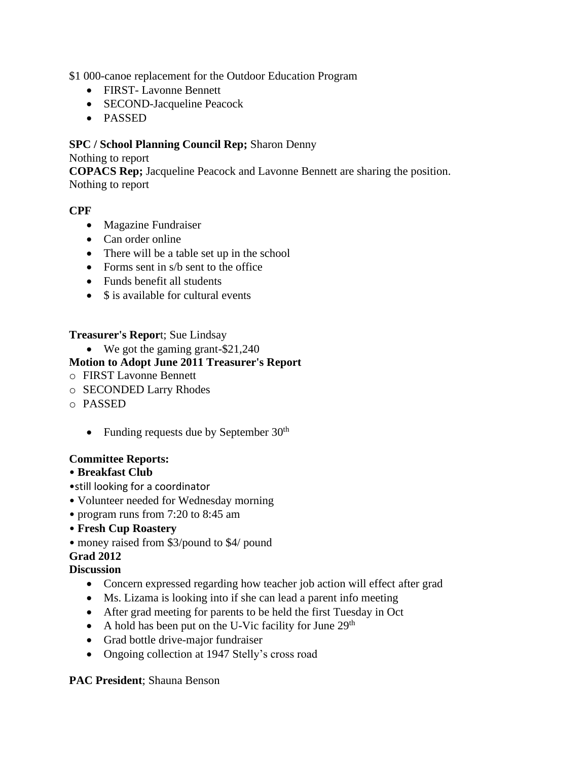\$1 000-canoe replacement for the Outdoor Education Program

- FIRST- Lavonne Bennett
- SECOND-Jacqueline Peacock
- PASSED

# **SPC / School Planning Council Rep;** Sharon Denny

#### Nothing to report

**COPACS Rep;** Jacqueline Peacock and Lavonne Bennett are sharing the position. Nothing to report

# **CPF**

- Magazine Fundraiser
- Can order online
- There will be a table set up in the school
- Forms sent in s/b sent to the office
- Funds benefit all students
- \$ is available for cultural events

# **Treasurer's Repor**t; Sue Lindsay

• We got the gaming grant-\$21,240

# **Motion to Adopt June 2011 Treasurer's Report**

- o FIRST Lavonne Bennett
- o SECONDED Larry Rhodes
- o PASSED
	- Funding requests due by September  $30<sup>th</sup>$

#### **Committee Reports:**

#### • **Breakfast Club**

- •still looking for a coordinator
- Volunteer needed for Wednesday morning
- program runs from 7:20 to 8:45 am

#### • **Fresh Cup Roastery**

• money raised from \$3/pound to \$4/ pound

#### **Grad 2012**

#### **Discussion**

- Concern expressed regarding how teacher job action will effect after grad
- Ms. Lizama is looking into if she can lead a parent info meeting
- After grad meeting for parents to be held the first Tuesday in Oct
- A hold has been put on the U-Vic facility for June  $29<sup>th</sup>$
- Grad bottle drive-major fundraiser
- Ongoing collection at 1947 Stelly's cross road

#### **PAC President**; Shauna Benson